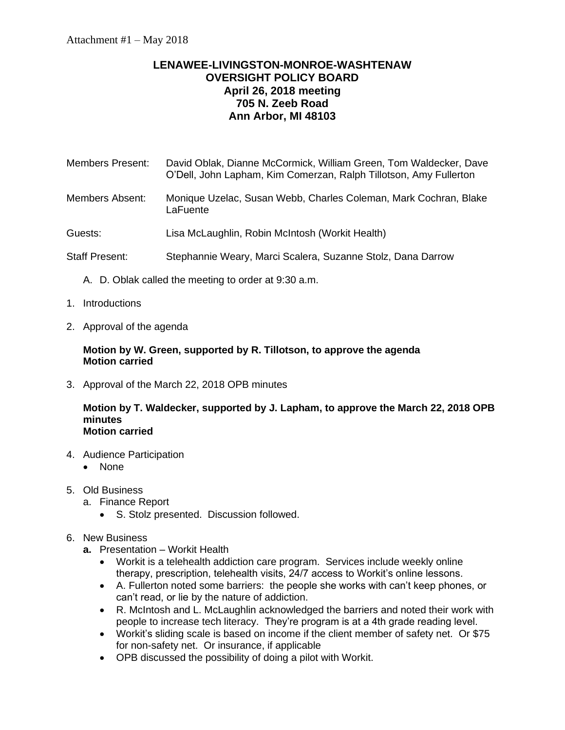# **LENAWEE-LIVINGSTON-MONROE-WASHTENAW OVERSIGHT POLICY BOARD April 26, 2018 meeting 705 N. Zeeb Road Ann Arbor, MI 48103**

| Members Present: | David Oblak, Dianne McCormick, William Green, Tom Waldecker, Dave |
|------------------|-------------------------------------------------------------------|
|                  | O'Dell, John Lapham, Kim Comerzan, Ralph Tillotson, Amy Fullerton |
|                  |                                                                   |

- Members Absent: Monique Uzelac, Susan Webb, Charles Coleman, Mark Cochran, Blake **LaFuente**
- Guests: Lisa McLaughlin, Robin McIntosh (Workit Health)
- Staff Present: Stephannie Weary, Marci Scalera, Suzanne Stolz, Dana Darrow
	- A. D. Oblak called the meeting to order at 9:30 a.m.
- 1. Introductions
- 2. Approval of the agenda

# **Motion by W. Green, supported by R. Tillotson, to approve the agenda Motion carried**

3. Approval of the March 22, 2018 OPB minutes

#### **Motion by T. Waldecker, supported by J. Lapham, to approve the March 22, 2018 OPB minutes Motion carried**

- 4. Audience Participation
	- None
- 5. Old Business
	- a. Finance Report
		- S. Stolz presented. Discussion followed.
- 6. New Business
	- **a.** Presentation Workit Health
		- Workit is a telehealth addiction care program. Services include weekly online therapy, prescription, telehealth visits, 24/7 access to Workit's online lessons.
		- A. Fullerton noted some barriers: the people she works with can't keep phones, or can't read, or lie by the nature of addiction.
		- R. McIntosh and L. McLaughlin acknowledged the barriers and noted their work with people to increase tech literacy. They're program is at a 4th grade reading level.
		- Workit's sliding scale is based on income if the client member of safety net. Or \$75 for non-safety net. Or insurance, if applicable
		- OPB discussed the possibility of doing a pilot with Workit.